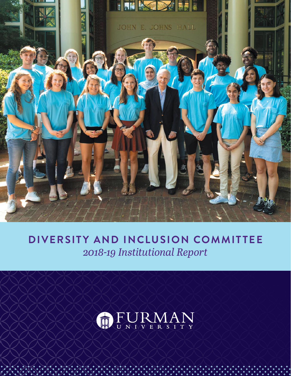

# **DIVERSITY AND INCLUSION COMMITTEE** *2018-19 Institutional Report*

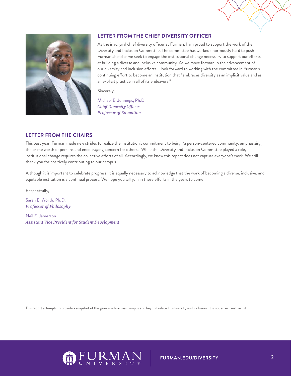



# **LETTER FROM THE CHIEF DIVERSITY OFFICER**

As the inaugural chief diversity officer at Furman, I am proud to support the work of the Diversity and Inclusion Committee. The committee has worked enormously hard to push Furman ahead as we seek to engage the institutional change necessary to support our efforts at building a diverse and inclusive community. As we move forward in the advancement of our diversity and inclusion efforts, I look forward to working with the committee in Furman's continuing effort to become an institution that "embraces diversity as an implicit value and as an explicit practice in all of its endeavors."

Sincerely,

Michael E. Jennings, Ph.D. *Chief Diversity Officer Professor of Education*

# **LETTER FROM THE CHAIRS**

This past year, Furman made new strides to realize the institution's commitment to being "a person-centered community, emphasizing the prime worth of persons and encouraging concern for others." While the Diversity and Inclusion Committee played a role, institutional change requires the collective efforts of all. Accordingly, we know this report does not capture everyone's work. We still thank you for positively contributing to our campus.

Although it is important to celebrate progress, it is equally necessary to acknowledge that the work of becoming a diverse, inclusive, and equitable institution is a continual process. We hope you will join in these efforts in the years to come.

Respectfully,

Sarah E. Worth, Ph.D. *Professor of Philosophy*

Neil E. Jamerson *Assistant Vice President for Student Development*

This report attempts to provide a snapshot of the gains made across campus and beyond related to diversity and inclusion. It is not an exhaustive list.

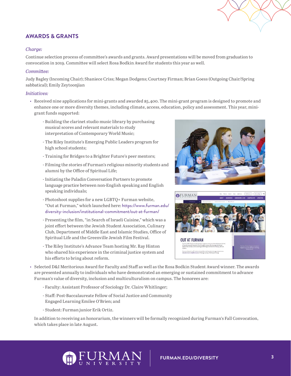# **AWARDS & GRANTS**

# *Charge:*

Continue selection process of committee's awards and grants. Award presentations will be moved from graduation to convocation in 2019. Committee will select Rosa Bodkin Award for students this year as well.

## *Committee:*

Judy Bagley (Incoming Chair); Shaniece Criss; Megan Dodgens; Courtney Firman; Brian Goess (Outgoing Chair/Spring sabbatical); Emily Zeytoonjian

### *Initiatives:*

- Received nine applications for mini-grants and awarded \$5,400. The mini-grant program is designed to promote and enhance one or more diversity themes, including climate, access, education, policy and assessment. This year, minigrant funds supported:
	- Building the clarinet studio music library by purchasing musical scores and relevant materials to study interpretation of Contemporary World Music;
	- The Riley Institute's Emerging Public Leaders program for high school students;
	- Training for Bridges to a Brighter Future's peer mentors;
	- Filming the stories of Furman's religious minority students and alumni by the Office of Spiritual Life;
	- Initiating the Paladin Conversation Partners to promote language practice between non-English speaking and English speaking individuals;
	- Photoshoot supplies for a new LGBTQ+ Furman website, "Out at Furman," which launched here: https://www.furman.edu/ diversity-inclusion/institutional-commitment/out-at-furman/
	- Presenting the film, "in Search of Israeli Cuisine," which was a joint effort between the Jewish Student Association, Culinary Club, Department of Middle East and Islamic Studies, Office of Spiritual Life and the Greenville Jewish Film Festival.
	- The Riley Institute's Advance Team hosting Mr. Ray Hinton who shared his experience in the criminal justice system and his efforts to bring about reform.





- Selected D&I Meritorious Award for Faculty and Staff as well as the Rosa Bodkin Student Award winner. The awards are presented annually to individuals who have demonstrated an emerging or sustained commitment to advance Furman's value of diversity, inclusion and multiculturalism on campus. The honorees are:
	- Faculty: Assistant Professor of Sociology Dr. Claire Whitlinger;
	- Staff: Post-Baccalaureate Fellow of Social Justice and Community Engaged Learning Emilee O'Brien; and
	- Student: Furman junior Erik Ortiz.

In addition to receiving an honorarium, the winners will be formally recognized during Furman's Fall Convocation, which takes place in late August.

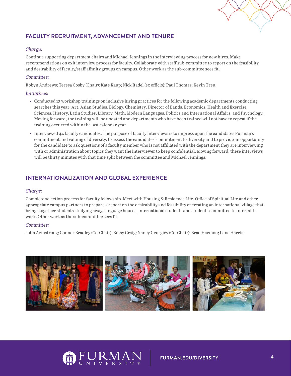# **FACULTY RECRUITMENT, ADVANCEMENT AND TENURE**

## *Charge:*

Continue supporting department chairs and Michael Jennings in the interviewing process for new hires. Make recommendations on exit interview process for faculty. Collaborate with staff sub-committee to report on the feasibility and desirability of faculty/staff affinity groups on campus. Other work as the sub-committee sees fit.

## *Committee:*

Robyn Andrews; Teresa Cosby (Chair); Kate Kaup; Nick Radel (ex officio); Paul Thomas; Kevin Treu.

#### *Initiatives:*

- Conducted 13 workshop trainings on inclusive hiring practices for the following academic departments conducting searches this year: Art, Asian Studies, Biology, Chemistry, Director of Bands, Economics, Health and Exercise Sciences, History, Latin Studies, Library, Math, Modern Languages, Politics and International Affairs, and Psychology. Moving forward, the training will be updated and departments who have been trained will not have to repeat if the training occurred within the last calendar year.
- Interviewed 44 faculty candidates. The purpose of faculty interviews is to impress upon the candidates Furman's commitment and valuing of diversity, to assess the candidates' commitment to diversity and to provide an opportunity for the candidate to ask questions of a faculty member who is not affiliated with the department they are interviewing with or administration about topics they want the interviewer to keep confidential. Moving forward, these interviews will be thirty minutes with that time split between the committee and Michael Jennings.

# **INTERNATIONALIZATION AND GLOBAL EXPERIENCE**

#### *Charge:*

Complete selection process for faculty fellowship. Meet with Housing & Residence Life, Office of Spiritual Life and other appropriate campus partners to prepare a report on the desirability and feasibility of creating an international village that brings together students studying away, language houses, international students and students committed to interfaith work. Other work as the sub-committee sees fit.

#### *Committee:*

John Armstrong; Connor Bradley (Co-Chair); Betsy Craig; Nancy Georgiev (Co-Chair); Brad Harmon; Lane Harris.



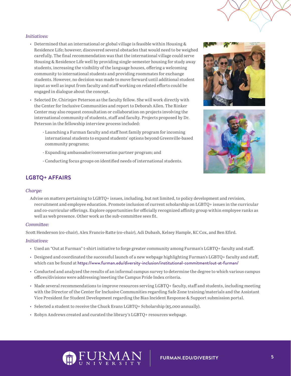## *Initiatives:*

- Determined that an international or global village is feasible within Housing & Residence Life; however, discovered several obstacles that would need to be weighed carefully. The final recommendation was that the international village could serve Housing & Residence Life well by providing single-semester housing for study away students, increasing the visibility of the language houses, offering a welcoming community to international students and providing roommates for exchange students. However, no decision was made to move forward until additional student input as well as input from faculty and staff working on related efforts could be engaged in dialogue about the concept.
- Selected Dr. Chirinjev Peterson as the faculty fellow. She will work directly with the Center for Inclusive Communities and report to Deborah Allen. The Rinker Center may also request consultation or collaboration on projects involving the international community of students, staff and faculty. Projects proposed by Dr. Peterson in the fellowship interview process included:
	- Launching a Furman faculty and staff host family program for incoming international students to expand students' options beyond Greenville-based community programs;
	- Expanding ambassador/conversation partner program; and
	- Conducting focus groups on identified needs of international students.

# **LGBTQ+ AFFAIRS**

#### *Charge:*

Advise on matters pertaining to LGBTQ+ issues, including, but not limited, to policy development and revision, recruitment and employee education. Promote inclusion of current scholarship on LGBTQ+ issues in the curricular and co-curricular offerings. Explore opportunities for officially recognized affinity group within employee ranks as well as web presence. Other work as the sub-committee sees fit.

## *Committee:*

Scott Henderson (co-chair), Alex Francis-Ratte (co-chair), Adi Dubash, Kelsey Hample, KC Cox, and Ben Efird.

## *Initiatives:*

- Used an "Out at Furman" t-shirt initiative to forge greater community among Furman's LGBTQ+ faculty and staff.
- Designed and coordinated the successful launch of a new webpage highlighting Furman's LGBTQ+ faculty and staff, which can be found at https://www.furman.edu/diversity-inclusion/institutional-commitment/out-at-furman/
- Conducted and analyzed the results of an informal campus survey to determine the degree to which various campus offices/divisions were addressing/meeting the Campus Pride Index criteria.
- Made several recommendations to improve resources serving LGBTQ+ faculty, staff and students, including meeting with the Director of the Center for Inclusive Communities regarding Safe Zone training/materials and the Assistant Vice President for Student Development regarding the Bias Incident Response & Support submission portal.
- Selected a student to receive the Chuck Evans LGBTQ+ Scholarship (\$5,000 annually).
- Robyn Andrews created and curated the library's LGBTQ+ resources webpage.





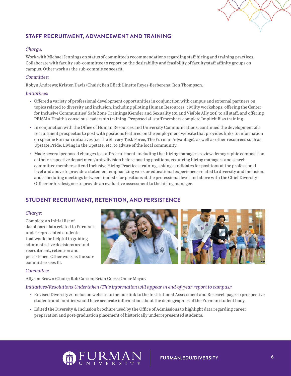

# **STAFF RECRUITMENT, ADVANCEMENT AND TRAINING**

# *Charge:*

Work with Michael Jennings on status of committee's recommendations regarding staff hiring and training practices. Collaborate with faculty sub-committee to report on the desirability and feasibility of faculty/staff affinity groups on campus. Other work as the sub-committee sees fit.

# *Committee:*

Robyn Andrews; Kristen Davis (Chair); Ben Efird; Linette Reyes-Berberena; Ron Thompson.

## *Initiatives:*

- Offered a variety of professional development opportunities in conjunction with campus and external partners on topics related to diversity and inclusion, including piloting Human Resources' civility workshops, offering the Center for Inclusive Communities' Safe Zone Trainings (Gender and Sexuality 101 and Visible Ally 201) to all staff, and offering PRISMA Health's conscious leadership training. Proposed all staff members complete Implicit Bias training.
- In conjunction with the Office of Human Resources and University Communications, continued the development of a recruitment prospectus to post with positions featured on the employment website that provides links to information on specific Furman initiatives (i.e. the Slavery Task Force, The Furman Advantage), as well as other resources such as Upstate Pride, Living in the Upstate, etc. to advise of the local community.
- Made several proposed changes to staff recruitment, including that hiring managers review demographic composition of their respective department/unit/division before posting positions, requiring hiring managers and search committee members attend Inclusive Hiring Practices training, asking candidates for positions at the professional level and above to provide a statement emphasizing work or educational experiences related to diversity and inclusion, and scheduling meetings between finalists for positions at the professional level and above with the Chief Diversity Officer or his designee to provide an evaluative assessment to the hiring manager.

# **STUDENT RECRUITMENT, RETENTION, AND PERSISTENCE**

# *Charge:*

Complete an initial list of dashboard data related to Furman's underrepresented students that would be helpful in guiding administrative decisions around recruitment, retention and persistence. Other work as the subcommittee sees fit.



# *Committee:*

Allyson Brown (Chair); Rob Carson; Brian Goess; Omar Mayar.

# *Initiatives/Resolutions Undertaken (This information will appear in end-of-year report to campus):*

- Revised Diversity & Inclusion website to include link to the Institutional Assessment and Research page so prospective students and families would have accurate information about the demographics of the Furman student body.
- Edited the Diversity & Inclusion brochure used by the Office of Admissions to highlight data regarding career preparation and post-graduation placement of historically underrepresented students.